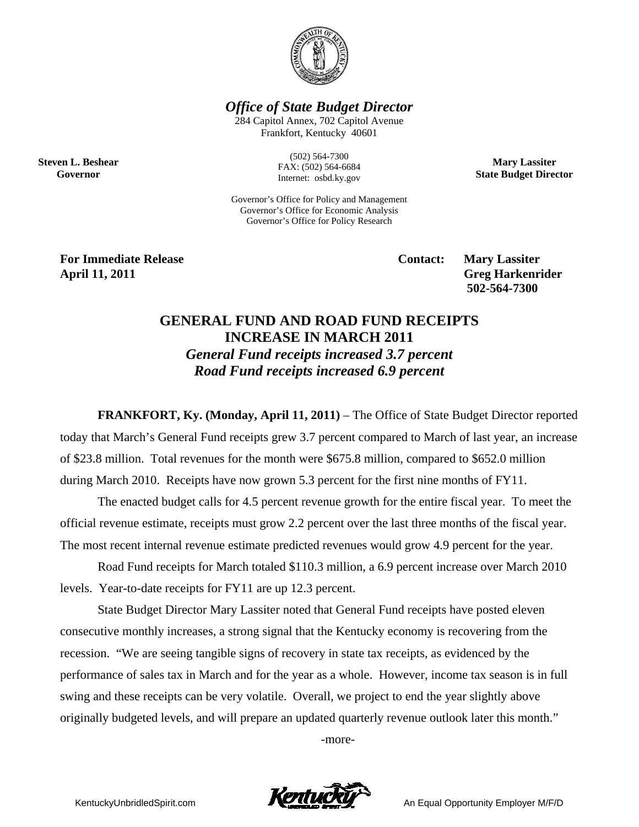

*Office of State Budget Director* 

284 Capitol Annex, 702 Capitol Avenue Frankfort, Kentucky 40601

> (502) 564-7300 FAX: (502) 564-6684 Internet: osbd.ky.gov

**Mary Lassiter State Budget Director** 

Governor's Office for Policy and Management Governor's Office for Economic Analysis Governor's Office for Policy Research

**For Immediate Release Service Service Service Contact: Mary Lassiter April 11, 2011 Greg Harkenrider** 

**Steven L. Beshear Governor** 

 **502-564-7300** 

## **GENERAL FUND AND ROAD FUND RECEIPTS INCREASE IN MARCH 2011**  *General Fund receipts increased 3.7 percent Road Fund receipts increased 6.9 percent*

**FRANKFORT, Ky. (Monday, April 11, 2011)** – The Office of State Budget Director reported today that March's General Fund receipts grew 3.7 percent compared to March of last year, an increase of \$23.8 million. Total revenues for the month were \$675.8 million, compared to \$652.0 million during March 2010. Receipts have now grown 5.3 percent for the first nine months of FY11.

The enacted budget calls for 4.5 percent revenue growth for the entire fiscal year. To meet the official revenue estimate, receipts must grow 2.2 percent over the last three months of the fiscal year. The most recent internal revenue estimate predicted revenues would grow 4.9 percent for the year.

Road Fund receipts for March totaled \$110.3 million, a 6.9 percent increase over March 2010 levels. Year-to-date receipts for FY11 are up 12.3 percent.

State Budget Director Mary Lassiter noted that General Fund receipts have posted eleven consecutive monthly increases, a strong signal that the Kentucky economy is recovering from the recession. "We are seeing tangible signs of recovery in state tax receipts, as evidenced by the performance of sales tax in March and for the year as a whole. However, income tax season is in full swing and these receipts can be very volatile. Overall, we project to end the year slightly above originally budgeted levels, and will prepare an updated quarterly revenue outlook later this month."

-more-

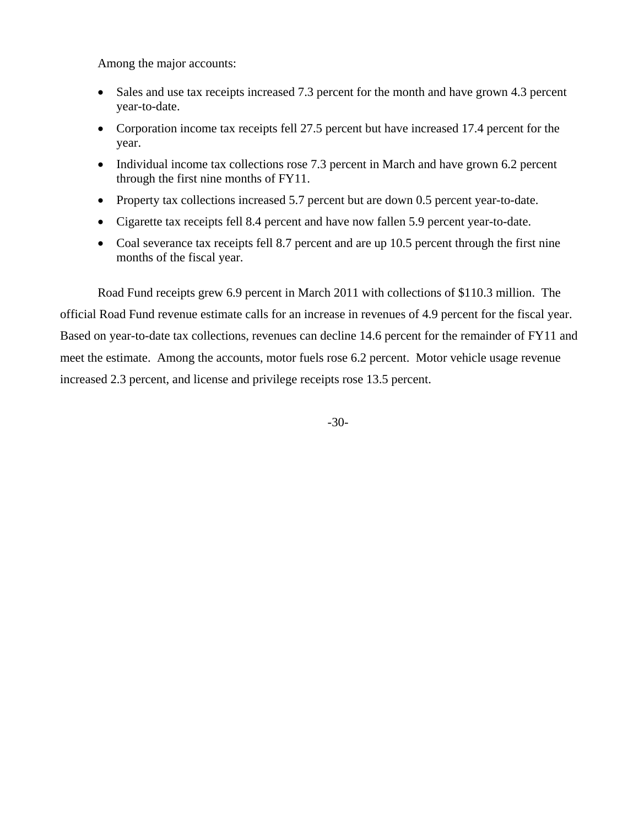Among the major accounts:

- Sales and use tax receipts increased 7.3 percent for the month and have grown 4.3 percent year-to-date.
- Corporation income tax receipts fell 27.5 percent but have increased 17.4 percent for the year.
- Individual income tax collections rose 7.3 percent in March and have grown 6.2 percent through the first nine months of FY11.
- Property tax collections increased 5.7 percent but are down 0.5 percent year-to-date.
- Cigarette tax receipts fell 8.4 percent and have now fallen 5.9 percent year-to-date.
- Coal severance tax receipts fell 8.7 percent and are up 10.5 percent through the first nine months of the fiscal year.

Road Fund receipts grew 6.9 percent in March 2011 with collections of \$110.3 million. The official Road Fund revenue estimate calls for an increase in revenues of 4.9 percent for the fiscal year. Based on year-to-date tax collections, revenues can decline 14.6 percent for the remainder of FY11 and meet the estimate. Among the accounts, motor fuels rose 6.2 percent. Motor vehicle usage revenue increased 2.3 percent, and license and privilege receipts rose 13.5 percent.

-30-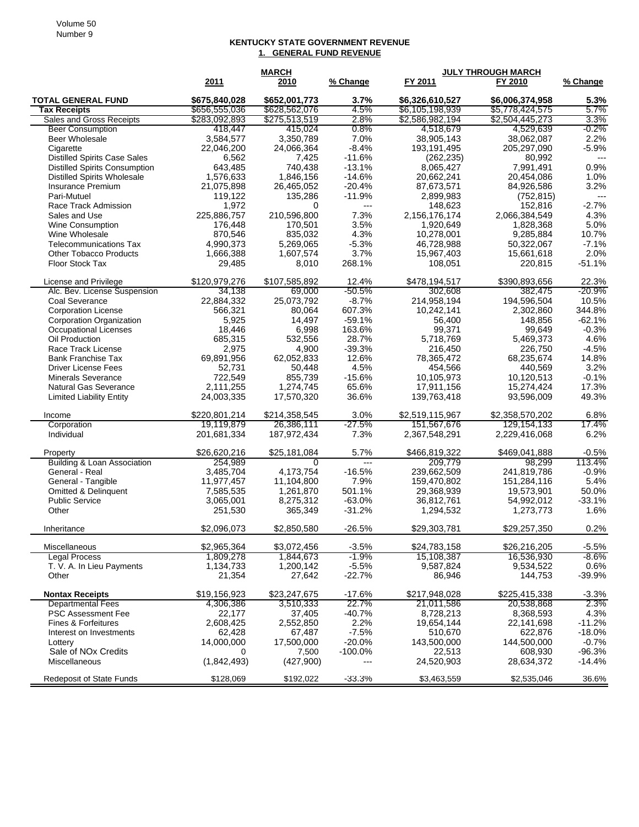## **KENTUCKY STATE GOVERNMENT REVENUE 1. GENERAL FUND REVENUE**

|                                                    | <b>MARCH</b>              |                           |                   | <b>JULY THROUGH MARCH</b>   |                             |                          |
|----------------------------------------------------|---------------------------|---------------------------|-------------------|-----------------------------|-----------------------------|--------------------------|
|                                                    | 2011                      | 2010                      | % Change          | FY 2011                     | FY 2010                     | % Change                 |
| <b>TOTAL GENERAL FUND</b>                          | \$675,840,028             | \$652,001,773             | 3.7%              | \$6,326,610,527             | \$6,006,374,958             | 5.3%                     |
| <b>Tax Receipts</b>                                | \$656,555,036             | \$628,562,076             | 4.5%              | \$6,105,198,939             | \$5,778,424,575             | 5.7%                     |
| Sales and Gross Receipts                           | \$283,092,893             | \$275,513,519             | 2.8%              | \$2,586,982,194             | \$2,504,445,273             | 3.3%                     |
| <b>Beer Consumption</b>                            | 418,447                   | 415,024                   | $0.8\%$           | 4,518,679                   | 4,529,639                   | $-0.2\%$                 |
| <b>Beer Wholesale</b>                              | 3,584,577                 | 3,350,789                 | 7.0%              | 38,905,143                  | 38,062,087                  | 2.2%                     |
| Cigarette                                          | 22,046,200                | 24,066,364                | $-8.4%$           | 193,191,495                 | 205,297,090                 | $-5.9%$                  |
| <b>Distilled Spirits Case Sales</b>                | 6,562                     | 7,425                     | $-11.6%$          | (262, 235)                  | 80,992                      | $\overline{\phantom{a}}$ |
| <b>Distilled Spirits Consumption</b>               | 643,485                   | 740,438                   | $-13.1%$          | 8,065,427                   | 7,991,491                   | 0.9%                     |
| <b>Distilled Spirits Wholesale</b>                 | 1,576,633                 | 1.846.156                 | $-14.6%$          | 20,662,241                  | 20,454,086                  | 1.0%                     |
| Insurance Premium                                  | 21,075,898                | 26,465,052                | $-20.4%$          | 87,673,571                  | 84,926,586                  | 3.2%                     |
| Pari-Mutuel                                        | 119,122                   | 135,286                   | $-11.9%$<br>$---$ | 2,899,983                   | (752, 815)                  | $---$<br>$-2.7%$         |
| Race Track Admission                               | 1,972                     | 0<br>210,596,800          | 7.3%              | 148,623                     | 152,816                     | 4.3%                     |
| Sales and Use                                      | 225,886,757<br>176,448    | 170,501                   | 3.5%              | 2,156,176,174<br>1,920,649  | 2,066,384,549<br>1,828,368  | 5.0%                     |
| Wine Consumption<br>Wine Wholesale                 | 870,546                   | 835,032                   | 4.3%              | 10,278,001                  | 9,285,884                   | 10.7%                    |
| <b>Telecommunications Tax</b>                      | 4,990,373                 | 5,269,065                 | $-5.3%$           | 46,728,988                  | 50,322,067                  | $-7.1%$                  |
| <b>Other Tobacco Products</b>                      | 1,666,388                 | 1,607,574                 | 3.7%              | 15,967,403                  | 15,661,618                  | 2.0%                     |
| Floor Stock Tax                                    | 29,485                    | 8,010                     | 268.1%            | 108,051                     | 220,815                     | $-51.1%$                 |
|                                                    |                           |                           |                   |                             |                             |                          |
| License and Privilege                              | \$120,979,276             | \$107,585,892             | 12.4%             | \$478,194,517               | \$390,893,656               | 22.3%                    |
| Alc. Bev. License Suspension                       | 34.138                    | 69.000                    | $-50.5%$          | 302,608                     | 382,475                     | $-20.9%$                 |
| <b>Coal Severance</b>                              | 22,884,332                | 25,073,792                | $-8.7%$           | 214,958,194                 | 194,596,504                 | 10.5%                    |
| <b>Corporation License</b>                         | 566,321                   | 80,064                    | 607.3%            | 10,242,141                  | 2,302,860                   | 344.8%                   |
| <b>Corporation Organization</b>                    | 5,925                     | 14,497                    | $-59.1%$          | 56,400                      | 148,856                     | $-62.1%$                 |
| <b>Occupational Licenses</b>                       | 18,446                    | 6,998                     | 163.6%            | 99,371                      | 99,649                      | $-0.3%$                  |
| Oil Production                                     | 685,315                   | 532,556                   | 28.7%             | 5,718,769                   | 5,469,373                   | 4.6%                     |
| Race Track License                                 | 2,975                     | 4,900                     | $-39.3%$          | 216,450                     | 226,750                     | $-4.5%$                  |
| <b>Bank Franchise Tax</b>                          | 69,891,956                | 62.052.833                | 12.6%             | 78,365,472                  | 68,235,674                  | 14.8%                    |
| <b>Driver License Fees</b>                         | 52,731                    | 50,448                    | 4.5%              | 454,566                     | 440.569                     | 3.2%                     |
| <b>Minerals Severance</b>                          | 722,549                   | 855,739                   | $-15.6%$          | 10,105,973                  | 10,120,513                  | $-0.1%$                  |
| Natural Gas Severance                              | 2,111,255                 | 1,274,745                 | 65.6%             | 17,911,156                  | 15,274,424                  | 17.3%                    |
| <b>Limited Liability Entity</b>                    | 24,003,335                | 17,570,320                | 36.6%             | 139,763,418                 | 93,596,009                  | 49.3%                    |
| Income                                             | \$220,801,214             | \$214,358,545             | 3.0%              | \$2,519,115,967             | \$2,358,570,202             | 6.8%                     |
| Corporation                                        | 19,119,879                | 26,386,111                | $-27.5%$          | 151,567,676                 | 129,154,133                 | 17.4%                    |
| Individual                                         | 201,681,334               | 187,972,434               | 7.3%              | 2,367,548,291               | 2,229,416,068               | 6.2%                     |
|                                                    | \$26,620,216              | \$25,181,084              | 5.7%              | \$466,819,322               | \$469,041,888               | $-0.5%$                  |
| Property<br>Building & Loan Association            | 254,989                   | 0                         | $---$             | 209,779                     | 98,299                      | 113.4%                   |
| General - Real                                     | 3,485,704                 | 4,173,754                 | $-16.5%$          | 239,662,509                 | 241.819.786                 | $-0.9%$                  |
| General - Tangible                                 | 11,977,457                | 11,104,800                | 7.9%              | 159,470,802                 | 151,284,116                 | 5.4%                     |
| <b>Omitted &amp; Delinquent</b>                    | 7,585,535                 | 1,261,870                 | 501.1%            | 29,368,939                  | 19,573,901                  | 50.0%                    |
| <b>Public Service</b>                              | 3,065,001                 | 8,275,312                 | $-63.0%$          | 36,812,761                  | 54,992,012                  | $-33.1%$                 |
| Other                                              | 251,530                   | 365,349                   | $-31.2%$          | 1,294,532                   | 1,273,773                   | 1.6%                     |
|                                                    |                           |                           |                   |                             |                             |                          |
| Inheritance                                        | \$2,096,073               | \$2,850,580               | $-26.5%$          | \$29,303,781                | \$29,257,350                | 0.2%                     |
| Miscellaneous                                      | \$2,965,364               | \$3,072,456               | $-3.5%$           | \$24,783,158                | \$26,216,205                | $-5.5%$                  |
| Legal Process                                      | 1,809,278                 | 1,844,673                 | $-1.9\%$          | 15,108,387                  | 16,536,930                  | -8.6%                    |
| T. V. A. In Lieu Payments                          | 1,134,733                 | 1,200,142                 | $-5.5%$           | 9,587,824                   | 9,534,522                   | 0.6%                     |
| Other                                              | 21,354                    | 27,642                    | $-22.7%$          | 86,946                      | 144,753                     | $-39.9%$                 |
|                                                    |                           |                           |                   |                             |                             |                          |
| <b>Nontax Receipts</b><br><b>Departmental Fees</b> | \$19,156,923<br>4,306,386 | \$23,247,675<br>3,510,333 | $-17.6%$<br>22.7% | \$217,948,028<br>21,011,586 | \$225,415,338<br>20,538,868 | $-3.3%$<br>2.3%          |
| <b>PSC Assessment Fee</b>                          | 22,177                    | 37,405                    | $-40.7%$          | 8,728,213                   | 8,368,593                   | 4.3%                     |
| Fines & Forfeitures                                | 2,608,425                 | 2,552,850                 | 2.2%              | 19.654,144                  | 22,141,698                  | $-11.2%$                 |
| Interest on Investments                            | 62,428                    | 67,487                    | $-7.5%$           | 510,670                     | 622,876                     | $-18.0%$                 |
| Lottery                                            | 14,000,000                | 17,500,000                | $-20.0%$          | 143,500,000                 | 144,500,000                 | $-0.7%$                  |
| Sale of NOx Credits                                | 0                         | 7,500                     | $-100.0\%$        | 22,513                      | 608,930                     | $-96.3%$                 |
| Miscellaneous                                      | (1,842,493)               | (427,900)                 |                   | 24,520,903                  | 28,634,372                  | $-14.4%$                 |
|                                                    |                           |                           |                   |                             |                             |                          |
| <b>Redeposit of State Funds</b>                    | \$128,069                 | \$192,022                 | $-33.3%$          | \$3,463,559                 | \$2,535,046                 | 36.6%                    |